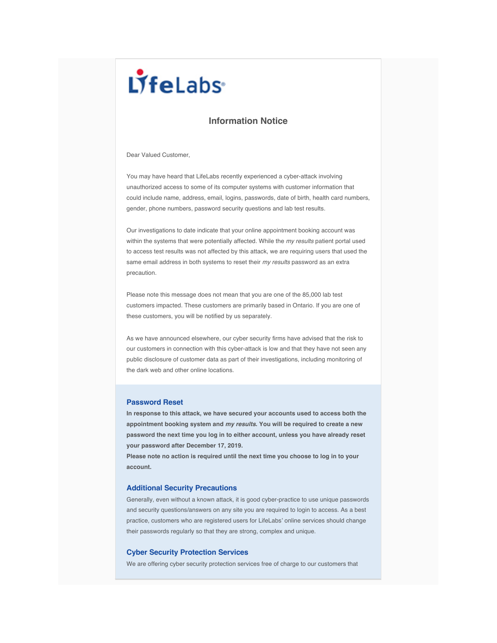# LifeLabs

## **Information Notice**

Dear Valued Customer,

You may have heard that LifeLabs recently experienced a cyber-attack involving unauthorized access to some of its computer systems with customer information that could include name, address, email, logins, passwords, date of birth, health card numbers, gender, phone numbers, password security questions and lab test results.

Our investigations to date indicate that your online appointment booking account was within the systems that were potentially affected. While the *my results* patient portal used to access test results was not affected by this attack, we are requiring users that used the same email address in both systems to reset their *my results* password as an extra precaution.

Please note this message does not mean that you are one of the 85,000 lab test customers impacted. These customers are primarily based in Ontario. If you are one of these customers, you will be notified by us separately.

As we have announced elsewhere, our cyber security firms have advised that the risk to our customers in connection with this cyber-attack is low and that they have not seen any public disclosure of customer data as part of their investigations, including monitoring of the dark web and other online locations.

### **Password Reset**

**In response to this attack, we have secured your accounts used to access both the appointment booking system and** *my results***. You will be required to create a new password the next time you log in to either account, unless you have already reset your password after December 17, 2019.**

**Please note no action is required until the next time you choose to log in to your account.**

#### **Additional Security Precautions**

Generally, even without a known attack, it is good cyber-practice to use unique passwords and security questions/answers on any site you are required to login to access. As a best practice, customers who are registered users for LifeLabs' online services should change their passwords regularly so that they are strong, complex and unique.

#### **Cyber Security Protection Services**

We are offering cyber security protection services free of charge to our customers that